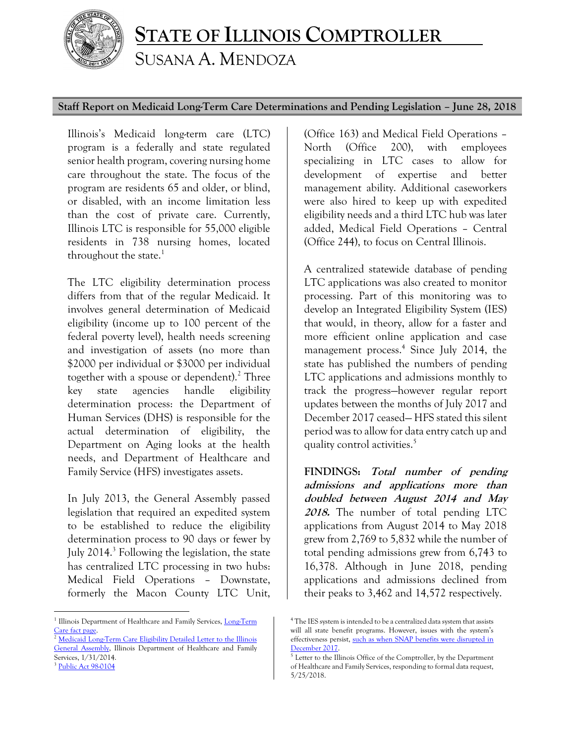

## **STATE OF ILLINOIS COMPTROLLER** SUSANA A. MENDOZA

## **Staff Report on Medicaid Long-Term Care Determinations and Pending Legislation – June 28, 2018**

Illinois's Medicaid long-term care (LTC) program is a federally and state regulated senior health program, covering nursing home care throughout the state. The focus of the program are residents 65 and older, or blind, or disabled, with an income limitation less than the cost of private care. Currently, Illinois LTC is responsible for 55,000 eligible residents in 738 nursing homes, located throughout the state. $<sup>1</sup>$ </sup>

The LTC eligibility determination process differs from that of the regular Medicaid. It involves general determination of Medicaid eligibility (income up to 100 percent of the federal poverty level), health needs screening and investigation of assets (no more than \$2000 per individual or \$3000 per individual together with a spouse or dependent).<sup>2</sup> Three key state agencies handle eligibility determination process: the Department of Human Services (DHS) is responsible for the actual determination of eligibility, the Department on Aging looks at the health needs, and Department of Healthcare and Family Service (HFS) investigates assets.

In July 2013, the General Assembly passed legislation that required an expedited system to be established to reduce the eligibility determination process to 90 days or fewer by July 2014.<sup>3</sup> Following the legislation, the state has centralized LTC processing in two hubs: Medical Field Operations – Downstate, formerly the Macon County LTC Unit,

 $\overline{a}$ 

(Office 163) and Medical Field Operations – North (Office 200), with employees specializing in LTC cases to allow for development of expertise and better management ability. Additional caseworkers were also hired to keep up with expedited eligibility needs and a third LTC hub was later added, Medical Field Operations – Central (Office 244), to focus on Central Illinois.

A centralized statewide database of pending LTC applications was also created to monitor processing. Part of this monitoring was to develop an Integrated Eligibility System (IES) that would, in theory, allow for a faster and more efficient online application and case management process. 4 Since July 2014, the state has published the numbers of pending LTC applications and admissions monthly to track the progress—however regular report updates between the months of July 2017 and December 2017 ceased— HFS stated this silent period was to allow for data entry catch up and quality control activities. 5

**FINDINGS: Total number of pending admissions and applications more than doubled between August 2014 and May 2018.** The number of total pending LTC applications from August 2014 to May 2018 grew from 2,769 to 5,832 while the number of total pending admissions grew from 6,743 to 16,378. Although in June 2018, pending applications and admissions declined from their peaks to 3,462 and 14,572 respectively.

<sup>&</sup>lt;sup>1</sup> Illinois Department of Healthcare and Family Services, Long-Term [Care fact page.](https://www.illinois.gov/hfs/MedicalClients/Pages/ltc.aspx) 

<sup>&</sup>lt;sup>2</sup> Medicaid Long-Term Care Eligibility Detailed Letter to the Illinois [General Assembly,](https://www.illinois.gov/hfs/SiteCollectionDocuments/FebInterimReportLTCEligibility.pdf) Illinois Department of Healthcare and Family Services, 1/31/2014.

<sup>&</sup>lt;sup>3</sup> [Public Act 98-0104](https://www.illinois.gov/hfs/SiteCollectionDocuments/098-0104.pdf)

<sup>&</sup>lt;sup>4</sup> The IES system is intended to be a centralized data system that assists will all state benefit programs. However, issues with the system's effectiveness persist[, such as when SNAP benefits were disrupted in](http://www.chicagotribune.com/business/ct-biz-snap-benefits-delayed-20171214-story.html)  [December 2017.](http://www.chicagotribune.com/business/ct-biz-snap-benefits-delayed-20171214-story.html) 

<sup>5</sup> Letter to the Illinois Office of the Comptroller, by the Department of Healthcare and Family Services, responding to formal data request, 5/25/2018.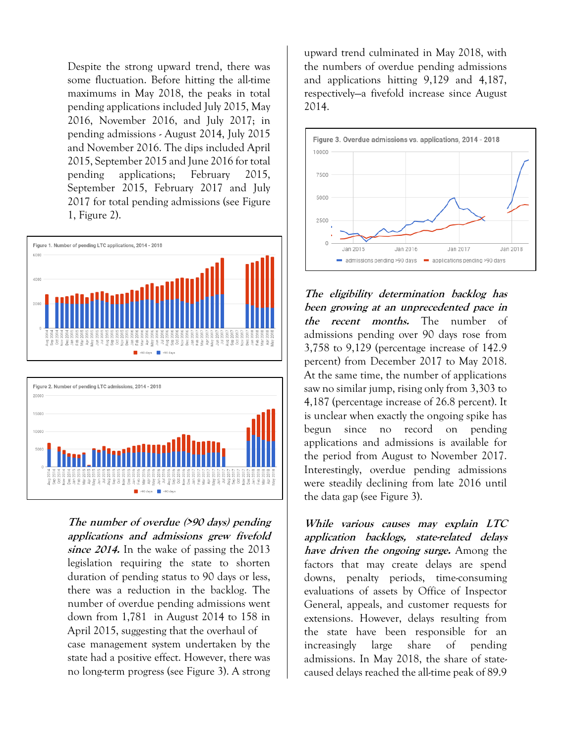Despite the strong upward trend, there was some fluctuation. Before hitting the all-time maximums in May 2018, the peaks in total pending applications included July 2015, May 2016, November 2016, and July 2017; in pending admissions - August 2014, July 2015 and November 2016. The dips included April 2015, September 2015 and June 2016 for total pending applications; February 2015, September 2015, February 2017 and July 2017 for total pending admissions (see Figure 1, Figure 2).



>90 days 8 <90 days

**The number of overdue (>90 days) pending applications and admissions grew fivefold since 2014.** In the wake of passing the 2013 legislation requiring the state to shorten duration of pending status to 90 days or less, there was a reduction in the backlog. The number of overdue pending admissions went down from 1,781 in August 2014 to 158 in April 2015, suggesting that the overhaul of case management system undertaken by the state had a positive effect. However, there was no long-term progress (see Figure 3). A strong

upward trend culminated in May 2018, with the numbers of overdue pending admissions and applications hitting 9,129 and 4,187, respectively—a fivefold increase since August 2014.



**The eligibility determination backlog has been growing at an unprecedented pace in the recent months.** The number of admissions pending over 90 days rose from 3,758 to 9,129 (percentage increase of 142.9 percent) from December 2017 to May 2018. At the same time, the number of applications saw no similar jump, rising only from 3,303 to 4,187 (percentage increase of 26.8 percent). It is unclear when exactly the ongoing spike has begun since no record on pending applications and admissions is available for the period from August to November 2017. Interestingly, overdue pending admissions were steadily declining from late 2016 until the data gap (see Figure 3).

**While various causes may explain LTC application backlogs, state-related delays have driven the ongoing surge.** Among the factors that may create delays are spend downs, penalty periods, time-consuming evaluations of assets by Office of Inspector General, appeals, and customer requests for extensions. However, delays resulting from the state have been responsible for an increasingly large share of pending admissions. In May 2018, the share of statecaused delays reached the all-time peak of 89.9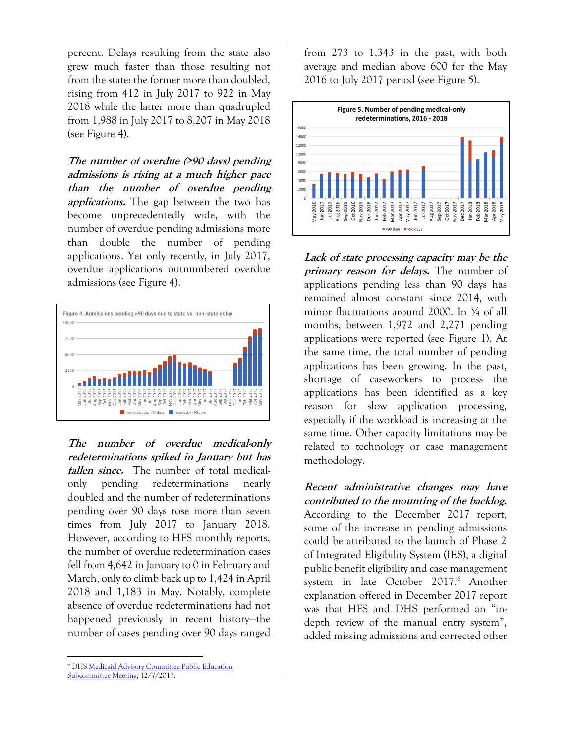percent. Delays resulting from the state also grew much faster than those resulting not from the state: the former more than doubled, rising from 412 in July 2017 to 922 in May 2018 while the latter more than quadrupled from 1,988 in July 2017 to 8,207 in May 2018 (see Figure 4).

**The number of overdue (>90 days) pending admissions is rising at a much higher pace than the number of overdue pending applications.** The gap between the two has become unprecedentedly wide, with the number of overdue pending admissions more than double the number of pending applications. Yet only recently, in July 2017, overdue applications outnumbered overdue admissions (see Figure 4).



**The number of overdue medical-only redeterminations spiked in January but has fallen since.** The number of total medicalonly pending redeterminations nearly doubled and the number of redeterminations pending over 90 days rose more than seven times from July 2017 to January 2018. However, according to HFS monthly reports, the number of overdue redetermination cases fell from 4,642 in January to 0 in February and March, only to climb back up to 1,424 in April 2018 and 1,183 in May. Notably, complete absence of overdue redeterminations had not happened previously in recent history—the number of cases pending over 90 days ranged

from 273 to 1,343 in the past, with both average and median above 600 for the May 2016 to July 2017 period (see Figure 5).



**Lack of state processing capacity may be the primary reason for delays.** The number of applications pending less than 90 days has remained almost constant since 2014, with minor fluctuations around 2000. In  $\frac{3}{4}$  of all months, between 1,972 and 2,271 pending applications were reported (see Figure 1). At the same time, the total number of pending applications has been growing. In the past, shortage of caseworkers to process the applications has been identified as a key reason for slow application processing, especially if the workload is increasing at the same time. Other capacity limitations may be related to technology or case management methodology.

**Recent administrative changes may have contributed to the mounting of the backlog.** According to the December 2017 report, some of the increase in pending admissions could be attributed to the launch of Phase 2 of Integrated Eligibility System (IES), a digital public benefit eligibility and case management system in late October 2017.<sup>6</sup> Another explanation offered in December 2017 report was that HFS and DHS performed an "indepth review of the manual entry system", added missing admissions and corrected other

 $\overline{a}$ 

<sup>6</sup> DH[S Medicaid Advisory Committee Public Education](https://www.illinois.gov/hfs/SiteCollectionDocuments/120717MACPublicEducationSubcommittee.pdf)  [Subcommittee Meeting,](https://www.illinois.gov/hfs/SiteCollectionDocuments/120717MACPublicEducationSubcommittee.pdf) 12/7/2017.